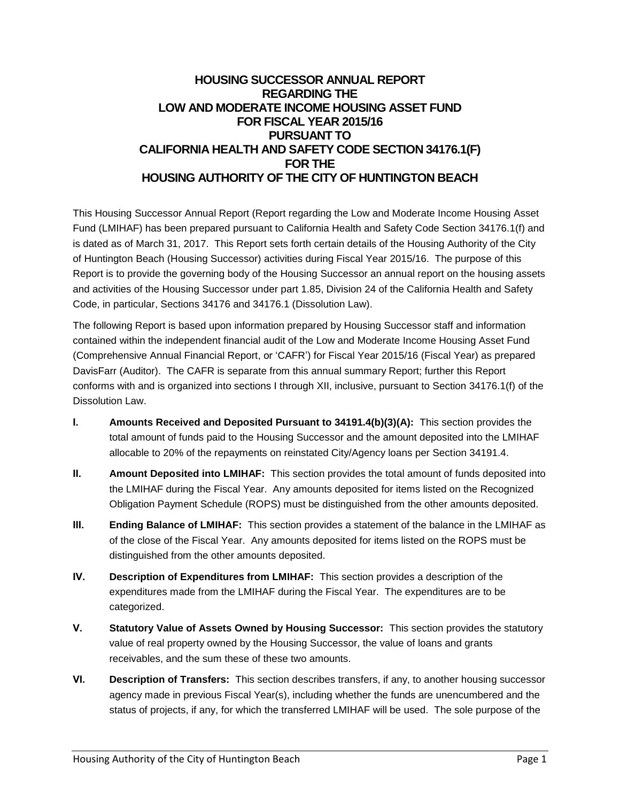# **HOUSING SUCCESSOR ANNUAL REPORT REGARDING THE LOW AND MODERATE INCOME HOUSING ASSET FUND FOR FISCAL YEAR 2015/16 PURSUANT TO CALIFORNIA HEALTH AND SAFETY CODE SECTION 34176.1(F) FOR THE HOUSING AUTHORITY OF THE CITY OF HUNTINGTON BEACH**

This Housing Successor Annual Report (Report regarding the Low and Moderate Income Housing Asset Fund (LMIHAF) has been prepared pursuant to California Health and Safety Code Section 34176.1(f) and is dated as of March 31, 2017. This Report sets forth certain details of the Housing Authority of the City of Huntington Beach (Housing Successor) activities during Fiscal Year 2015/16. The purpose of this Report is to provide the governing body of the Housing Successor an annual report on the housing assets and activities of the Housing Successor under part 1.85, Division 24 of the California Health and Safety Code, in particular, Sections 34176 and 34176.1 (Dissolution Law).

The following Report is based upon information prepared by Housing Successor staff and information contained within the independent financial audit of the Low and Moderate Income Housing Asset Fund (Comprehensive Annual Financial Report, or 'CAFR') for Fiscal Year 2015/16 (Fiscal Year) as prepared DavisFarr (Auditor). The CAFR is separate from this annual summary Report; further this Report conforms with and is organized into sections I through XII, inclusive, pursuant to Section 34176.1(f) of the Dissolution Law.

- **I. Amounts Received and Deposited Pursuant to 34191.4(b)(3)(A):** This section provides the total amount of funds paid to the Housing Successor and the amount deposited into the LMIHAF allocable to 20% of the repayments on reinstated City/Agency loans per Section 34191.4.
- **II. Amount Deposited into LMIHAF:** This section provides the total amount of funds deposited into the LMIHAF during the Fiscal Year. Any amounts deposited for items listed on the Recognized Obligation Payment Schedule (ROPS) must be distinguished from the other amounts deposited.
- **III. Ending Balance of LMIHAF:** This section provides a statement of the balance in the LMIHAF as of the close of the Fiscal Year. Any amounts deposited for items listed on the ROPS must be distinguished from the other amounts deposited.
- **IV. Description of Expenditures from LMIHAF:** This section provides a description of the expenditures made from the LMIHAF during the Fiscal Year. The expenditures are to be categorized.
- **V. Statutory Value of Assets Owned by Housing Successor:** This section provides the statutory value of real property owned by the Housing Successor, the value of loans and grants receivables, and the sum these of these two amounts.
- **VI. Description of Transfers:** This section describes transfers, if any, to another housing successor agency made in previous Fiscal Year(s), including whether the funds are unencumbered and the status of projects, if any, for which the transferred LMIHAF will be used. The sole purpose of the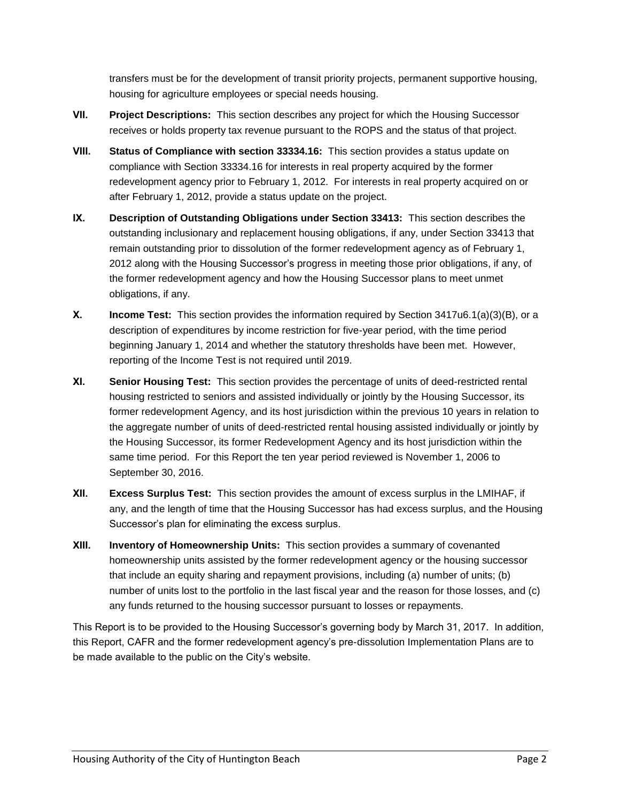transfers must be for the development of transit priority projects, permanent supportive housing, housing for agriculture employees or special needs housing.

- **VII. Project Descriptions:** This section describes any project for which the Housing Successor receives or holds property tax revenue pursuant to the ROPS and the status of that project.
- **VIII. Status of Compliance with section 33334.16:** This section provides a status update on compliance with Section 33334.16 for interests in real property acquired by the former redevelopment agency prior to February 1, 2012. For interests in real property acquired on or after February 1, 2012, provide a status update on the project.
- **IX. Description of Outstanding Obligations under Section 33413:** This section describes the outstanding inclusionary and replacement housing obligations, if any, under Section 33413 that remain outstanding prior to dissolution of the former redevelopment agency as of February 1, 2012 along with the Housing Successor's progress in meeting those prior obligations, if any, of the former redevelopment agency and how the Housing Successor plans to meet unmet obligations, if any.
- **X. Income Test:** This section provides the information required by Section 3417u6.1(a)(3)(B), or a description of expenditures by income restriction for five-year period, with the time period beginning January 1, 2014 and whether the statutory thresholds have been met. However, reporting of the Income Test is not required until 2019.
- **XI. Senior Housing Test:** This section provides the percentage of units of deed-restricted rental housing restricted to seniors and assisted individually or jointly by the Housing Successor, its former redevelopment Agency, and its host jurisdiction within the previous 10 years in relation to the aggregate number of units of deed-restricted rental housing assisted individually or jointly by the Housing Successor, its former Redevelopment Agency and its host jurisdiction within the same time period. For this Report the ten year period reviewed is November 1, 2006 to September 30, 2016.
- **XII. Excess Surplus Test:** This section provides the amount of excess surplus in the LMIHAF, if any, and the length of time that the Housing Successor has had excess surplus, and the Housing Successor's plan for eliminating the excess surplus.
- **XIII. Inventory of Homeownership Units:** This section provides a summary of covenanted homeownership units assisted by the former redevelopment agency or the housing successor that include an equity sharing and repayment provisions, including (a) number of units; (b) number of units lost to the portfolio in the last fiscal year and the reason for those losses, and (c) any funds returned to the housing successor pursuant to losses or repayments.

This Report is to be provided to the Housing Successor's governing body by March 31, 2017. In addition, this Report, CAFR and the former redevelopment agency's pre-dissolution Implementation Plans are to be made available to the public on the City's website.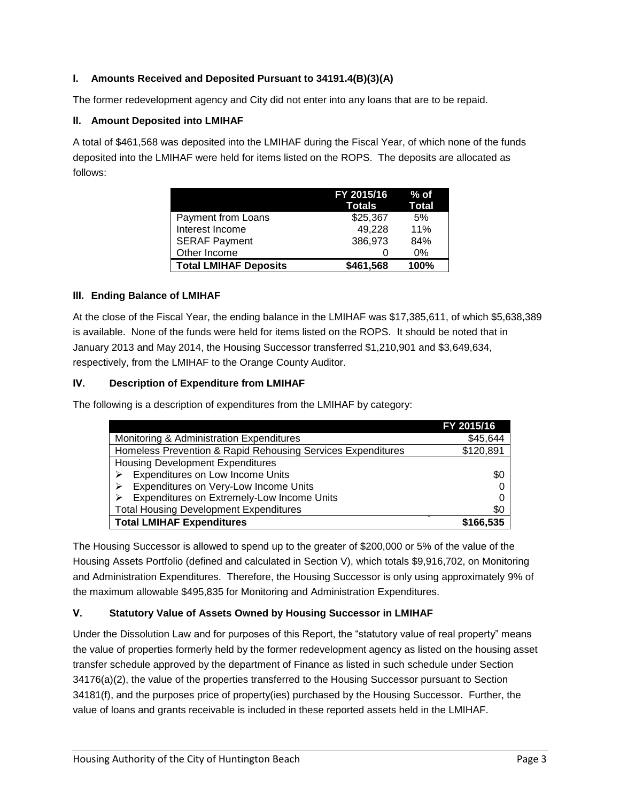# **I. Amounts Received and Deposited Pursuant to 34191.4(B)(3)(A)**

The former redevelopment agency and City did not enter into any loans that are to be repaid.

#### **II. Amount Deposited into LMIHAF**

A total of \$461,568 was deposited into the LMIHAF during the Fiscal Year, of which none of the funds deposited into the LMIHAF were held for items listed on the ROPS. The deposits are allocated as follows:

|                              | FY 2015/16<br>Totals | % of<br>Total |
|------------------------------|----------------------|---------------|
| Payment from Loans           | \$25,367             | 5%            |
| Interest Income              | 49,228               | 11%           |
| <b>SERAF Payment</b>         | 386,973              | 84%           |
| Other Income                 |                      | $0\%$         |
| <b>Total LMIHAF Deposits</b> | \$461,568            | 100%          |

## **III. Ending Balance of LMIHAF**

At the close of the Fiscal Year, the ending balance in the LMIHAF was \$17,385,611, of which \$5,638,389 is available. None of the funds were held for items listed on the ROPS. It should be noted that in January 2013 and May 2014, the Housing Successor transferred \$1,210,901 and \$3,649,634, respectively, from the LMIHAF to the Orange County Auditor.

## **IV. Description of Expenditure from LMIHAF**

The following is a description of expenditures from the LMIHAF by category:

|                                                             | FY 2015/16 |
|-------------------------------------------------------------|------------|
| Monitoring & Administration Expenditures                    | \$45,644   |
| Homeless Prevention & Rapid Rehousing Services Expenditures | \$120,891  |
| <b>Housing Development Expenditures</b>                     |            |
| Expenditures on Low Income Units                            | \$0        |
| Expenditures on Very-Low Income Units                       |            |
| Expenditures on Extremely-Low Income Units                  |            |
| <b>Total Housing Development Expenditures</b>               | \$0        |
| <b>Total LMIHAF Expenditures</b>                            | \$166,535  |

The Housing Successor is allowed to spend up to the greater of \$200,000 or 5% of the value of the Housing Assets Portfolio (defined and calculated in Section V), which totals \$9,916,702, on Monitoring and Administration Expenditures. Therefore, the Housing Successor is only using approximately 9% of the maximum allowable \$495,835 for Monitoring and Administration Expenditures.

# **V. Statutory Value of Assets Owned by Housing Successor in LMIHAF**

Under the Dissolution Law and for purposes of this Report, the "statutory value of real property" means the value of properties formerly held by the former redevelopment agency as listed on the housing asset transfer schedule approved by the department of Finance as listed in such schedule under Section 34176(a)(2), the value of the properties transferred to the Housing Successor pursuant to Section 34181(f), and the purposes price of property(ies) purchased by the Housing Successor. Further, the value of loans and grants receivable is included in these reported assets held in the LMIHAF.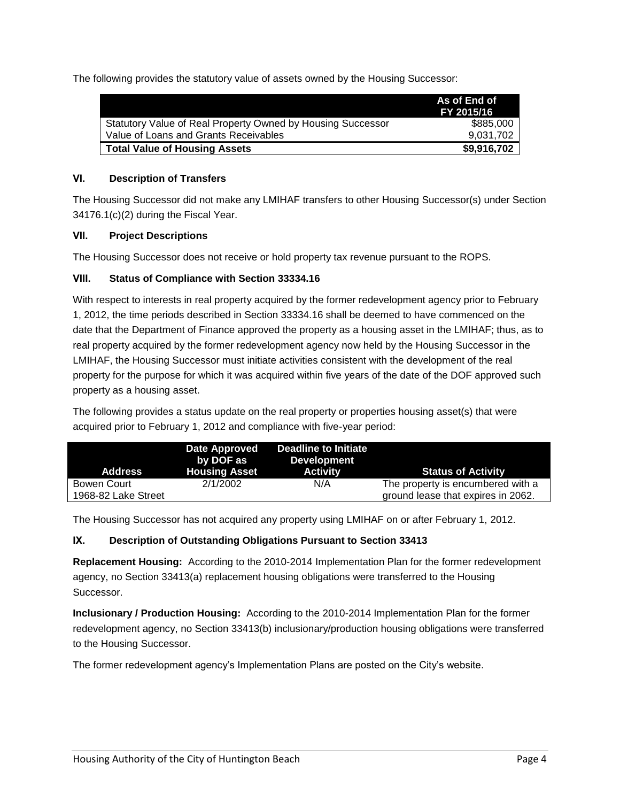The following provides the statutory value of assets owned by the Housing Successor:

|                                                             | As of End of<br>FY 2015/16 |
|-------------------------------------------------------------|----------------------------|
| Statutory Value of Real Property Owned by Housing Successor | \$885,000                  |
| Value of Loans and Grants Receivables                       | 9.031.702                  |
| <b>Total Value of Housing Assets</b>                        | \$9,916,702                |

## **VI. Description of Transfers**

The Housing Successor did not make any LMIHAF transfers to other Housing Successor(s) under Section 34176.1(c)(2) during the Fiscal Year.

## **VII. Project Descriptions**

The Housing Successor does not receive or hold property tax revenue pursuant to the ROPS.

## **VIII. Status of Compliance with Section 33334.16**

With respect to interests in real property acquired by the former redevelopment agency prior to February 1, 2012, the time periods described in Section 33334.16 shall be deemed to have commenced on the date that the Department of Finance approved the property as a housing asset in the LMIHAF; thus, as to real property acquired by the former redevelopment agency now held by the Housing Successor in the LMIHAF, the Housing Successor must initiate activities consistent with the development of the real property for the purpose for which it was acquired within five years of the date of the DOF approved such property as a housing asset.

The following provides a status update on the real property or properties housing asset(s) that were acquired prior to February 1, 2012 and compliance with five-year period:

| <b>Address</b>      | <b>Date Approved</b><br>by DOF as<br><b>Housing Asset</b> | Deadline to Initiate<br><b>Development</b><br><b>Activity</b> | <b>Status of Activity</b>          |
|---------------------|-----------------------------------------------------------|---------------------------------------------------------------|------------------------------------|
| Bowen Court         | 2/1/2002                                                  | N/A                                                           | The property is encumbered with a  |
| 1968-82 Lake Street |                                                           |                                                               | ground lease that expires in 2062. |

The Housing Successor has not acquired any property using LMIHAF on or after February 1, 2012.

# **IX. Description of Outstanding Obligations Pursuant to Section 33413**

**Replacement Housing:** According to the 2010-2014 Implementation Plan for the former redevelopment agency, no Section 33413(a) replacement housing obligations were transferred to the Housing Successor.

**Inclusionary / Production Housing:** According to the 2010-2014 Implementation Plan for the former redevelopment agency, no Section 33413(b) inclusionary/production housing obligations were transferred to the Housing Successor.

The former redevelopment agency's Implementation Plans are posted on the City's website.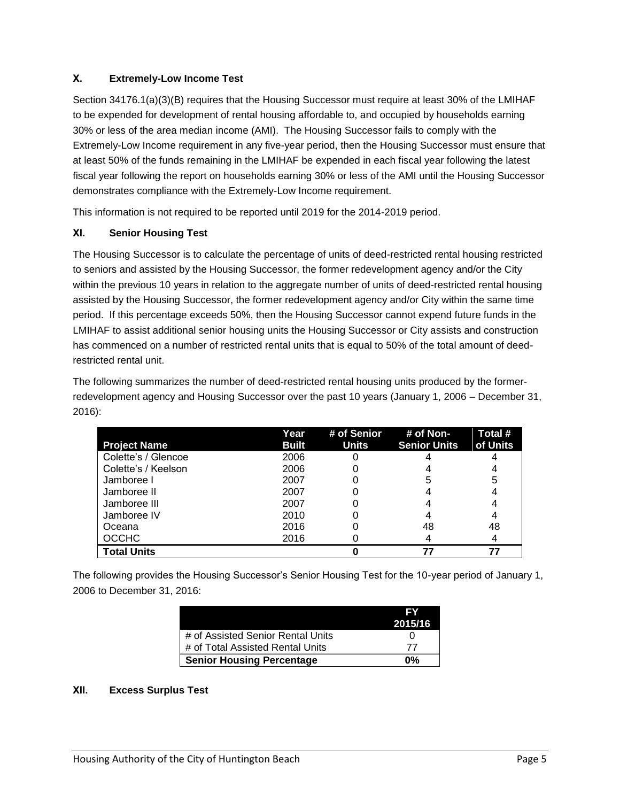# **X. Extremely-Low Income Test**

Section 34176.1(a)(3)(B) requires that the Housing Successor must require at least 30% of the LMIHAF to be expended for development of rental housing affordable to, and occupied by households earning 30% or less of the area median income (AMI). The Housing Successor fails to comply with the Extremely-Low Income requirement in any five-year period, then the Housing Successor must ensure that at least 50% of the funds remaining in the LMIHAF be expended in each fiscal year following the latest fiscal year following the report on households earning 30% or less of the AMI until the Housing Successor demonstrates compliance with the Extremely-Low Income requirement.

This information is not required to be reported until 2019 for the 2014-2019 period.

## **XI. Senior Housing Test**

The Housing Successor is to calculate the percentage of units of deed-restricted rental housing restricted to seniors and assisted by the Housing Successor, the former redevelopment agency and/or the City within the previous 10 years in relation to the aggregate number of units of deed-restricted rental housing assisted by the Housing Successor, the former redevelopment agency and/or City within the same time period. If this percentage exceeds 50%, then the Housing Successor cannot expend future funds in the LMIHAF to assist additional senior housing units the Housing Successor or City assists and construction has commenced on a number of restricted rental units that is equal to 50% of the total amount of deedrestricted rental unit.

The following summarizes the number of deed-restricted rental housing units produced by the formerredevelopment agency and Housing Successor over the past 10 years (January 1, 2006 – December 31, 2016):

| <b>Project Name</b> | Year<br><b>Built</b> | # of Senior<br><b>Units</b> | # of Non-<br><b>Senior Units</b> | Total #<br>of Units |
|---------------------|----------------------|-----------------------------|----------------------------------|---------------------|
| Colette's / Glencoe | 2006                 |                             |                                  |                     |
| Colette's / Keelson | 2006                 |                             |                                  |                     |
| Jamboree I          | 2007                 |                             | 5                                | 5                   |
| Jamboree II         | 2007                 |                             |                                  |                     |
| Jamboree III        | 2007                 |                             |                                  |                     |
| Jamboree IV         | 2010                 |                             |                                  |                     |
| Oceana              | 2016                 |                             | 48                               | 48                  |
| <b>OCCHC</b>        | 2016                 |                             |                                  |                     |
| <b>Total Units</b>  |                      |                             | 77                               |                     |

The following provides the Housing Successor's Senior Housing Test for the 10-year period of January 1, 2006 to December 31, 2016:

|                                   | EV      |
|-----------------------------------|---------|
|                                   | 2015/16 |
| # of Assisted Senior Rental Units |         |
| # of Total Assisted Rental Units  |         |
| <b>Senior Housing Percentage</b>  | በ%      |

#### **XII. Excess Surplus Test**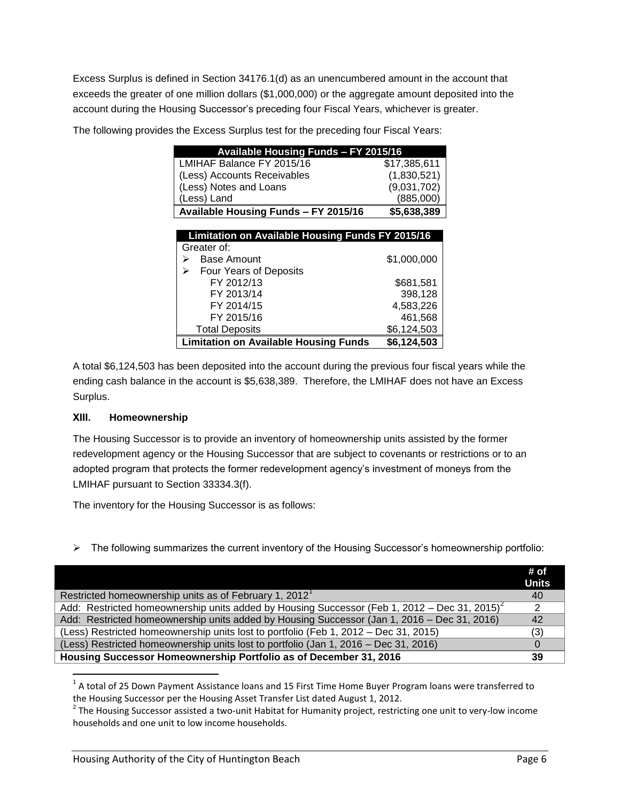Excess Surplus is defined in Section 34176.1(d) as an unencumbered amount in the account that exceeds the greater of one million dollars (\$1,000,000) or the aggregate amount deposited into the account during the Housing Successor's preceding four Fiscal Years, whichever is greater.

| Available Housing Funds - FY 2015/16                    |              |  |
|---------------------------------------------------------|--------------|--|
| LMIHAF Balance FY 2015/16                               | \$17,385,611 |  |
| (Less) Accounts Receivables                             | (1,830,521)  |  |
| (Less) Notes and Loans                                  | (9,031,702)  |  |
| (Less) Land                                             | (885,000)    |  |
| Available Housing Funds - FY 2015/16                    | \$5,638,389  |  |
|                                                         |              |  |
| <b>Limitation on Available Housing Funds FY 2015/16</b> |              |  |
| Greater of:                                             |              |  |
| <b>Base Amount</b><br>⋗                                 | \$1,000,000  |  |
| <b>Four Years of Deposits</b><br>⋗                      |              |  |
| FY 2012/13                                              | \$681,581    |  |
| FY 2013/14                                              | 398,128      |  |
| FY 2014/15                                              | 4,583,226    |  |
| FY 2015/16                                              | 461,568      |  |
| <b>Total Deposits</b>                                   | \$6,124,503  |  |
| <b>Limitation on Available Housing Funds</b>            | \$6,124,503  |  |

The following provides the Excess Surplus test for the preceding four Fiscal Years:

A total \$6,124,503 has been deposited into the account during the previous four fiscal years while the ending cash balance in the account is \$5,638,389. Therefore, the LMIHAF does not have an Excess Surplus.

#### **XIII. Homeownership**

 $\overline{a}$ 

The Housing Successor is to provide an inventory of homeownership units assisted by the former redevelopment agency or the Housing Successor that are subject to covenants or restrictions or to an adopted program that protects the former redevelopment agency's investment of moneys from the LMIHAF pursuant to Section 33334.3(f).

The inventory for the Housing Successor is as follows:

 $\triangleright$  The following summarizes the current inventory of the Housing Successor's homeownership portfolio:

|                                                                                                          | # of<br><b>Units</b> |
|----------------------------------------------------------------------------------------------------------|----------------------|
| Restricted homeownership units as of February 1, 2012 <sup>1</sup>                                       | 40                   |
| Add: Restricted homeownership units added by Housing Successor (Feb 1, 2012 – Dec 31, 2015) <sup>2</sup> |                      |
| Add: Restricted homeownership units added by Housing Successor (Jan 1, 2016 – Dec 31, 2016)              | 42                   |
| (Less) Restricted homeownership units lost to portfolio (Feb 1, 2012 - Dec 31, 2015)                     | (3)                  |
| (Less) Restricted homeownership units lost to portfolio (Jan 1, 2016 – Dec 31, 2016)                     |                      |
| Housing Successor Homeownership Portfolio as of December 31, 2016                                        | 39                   |

 $^1$  A total of 25 Down Payment Assistance loans and 15 First Time Home Buyer Program loans were transferred to the Housing Successor per the Housing Asset Transfer List dated August 1, 2012.

<sup>&</sup>lt;sup>2</sup> The Housing Successor assisted a two-unit Habitat for Humanity project, restricting one unit to very-low income households and one unit to low income households.